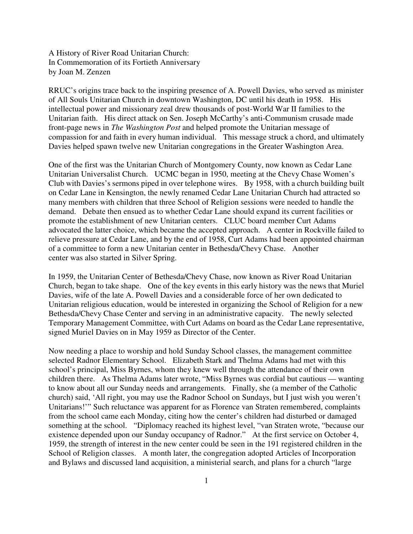A History of River Road Unitarian Church: In Commemoration of its Fortieth Anniversary by Joan M. Zenzen

RRUC's origins trace back to the inspiring presence of A. Powell Davies, who served as minister of All Souls Unitarian Church in downtown Washington, DC until his death in 1958. His intellectual power and missionary zeal drew thousands of post-World War II families to the Unitarian faith. His direct attack on Sen. Joseph McCarthy's anti-Communism crusade made front-page news in *The Washington Post* and helped promote the Unitarian message of compassion for and faith in every human individual. This message struck a chord, and ultimately Davies helped spawn twelve new Unitarian congregations in the Greater Washington Area.

One of the first was the Unitarian Church of Montgomery County, now known as Cedar Lane Unitarian Universalist Church. UCMC began in 1950, meeting at the Chevy Chase Women's Club with Davies's sermons piped in over telephone wires. By 1958, with a church building built on Cedar Lane in Kensington, the newly renamed Cedar Lane Unitarian Church had attracted so many members with children that three School of Religion sessions were needed to handle the demand. Debate then ensued as to whether Cedar Lane should expand its current facilities or promote the establishment of new Unitarian centers. CLUC board member Curt Adams advocated the latter choice, which became the accepted approach. A center in Rockville failed to relieve pressure at Cedar Lane, and by the end of 1958, Curt Adams had been appointed chairman of a committee to form a new Unitarian center in Bethesda/Chevy Chase. Another center was also started in Silver Spring.

In 1959, the Unitarian Center of Bethesda/Chevy Chase, now known as River Road Unitarian Church, began to take shape. One of the key events in this early history was the news that Muriel Davies, wife of the late A. Powell Davies and a considerable force of her own dedicated to Unitarian religious education, would be interested in organizing the School of Religion for a new Bethesda/Chevy Chase Center and serving in an administrative capacity. The newly selected Temporary Management Committee, with Curt Adams on board as the Cedar Lane representative, signed Muriel Davies on in May 1959 as Director of the Center.

Now needing a place to worship and hold Sunday School classes, the management committee selected Radnor Elementary School. Elizabeth Stark and Thelma Adams had met with this school's principal, Miss Byrnes, whom they knew well through the attendance of their own children there. As Thelma Adams later wrote, "Miss Byrnes was cordial but cautious — wanting to know about all our Sunday needs and arrangements. Finally, she (a member of the Catholic church) said, 'All right, you may use the Radnor School on Sundays, but I just wish you weren't Unitarians!'" Such reluctance was apparent for as Florence van Straten remembered, complaints from the school came each Monday, citing how the center's children had disturbed or damaged something at the school. "Diplomacy reached its highest level, "van Straten wrote, "because our existence depended upon our Sunday occupancy of Radnor." At the first service on October 4, 1959, the strength of interest in the new center could be seen in the 191 registered children in the School of Religion classes. A month later, the congregation adopted Articles of Incorporation and Bylaws and discussed land acquisition, a ministerial search, and plans for a church "large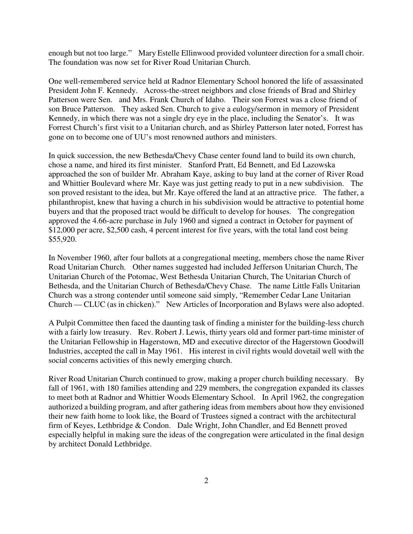enough but not too large." Mary Estelle Ellinwood provided volunteer direction for a small choir. The foundation was now set for River Road Unitarian Church.

One well-remembered service held at Radnor Elementary School honored the life of assassinated President John F. Kennedy. Across-the-street neighbors and close friends of Brad and Shirley Patterson were Sen. and Mrs. Frank Church of Idaho. Their son Forrest was a close friend of son Bruce Patterson. They asked Sen. Church to give a eulogy/sermon in memory of President Kennedy, in which there was not a single dry eye in the place, including the Senator's. It was Forrest Church's first visit to a Unitarian church, and as Shirley Patterson later noted, Forrest has gone on to become one of UU's most renowned authors and ministers.

In quick succession, the new Bethesda/Chevy Chase center found land to build its own church, chose a name, and hired its first minister. Stanford Pratt, Ed Bennett, and Ed Lazowska approached the son of builder Mr. Abraham Kaye, asking to buy land at the corner of River Road and Whittier Boulevard where Mr. Kaye was just getting ready to put in a new subdivision. The son proved resistant to the idea, but Mr. Kaye offered the land at an attractive price. The father, a philanthropist, knew that having a church in his subdivision would be attractive to potential home buyers and that the proposed tract would be difficult to develop for houses. The congregation approved the 4.66-acre purchase in July 1960 and signed a contract in October for payment of \$12,000 per acre, \$2,500 cash, 4 percent interest for five years, with the total land cost being \$55,920.

In November 1960, after four ballots at a congregational meeting, members chose the name River Road Unitarian Church. Other names suggested had included Jefferson Unitarian Church, The Unitarian Church of the Potomac, West Bethesda Unitarian Church, The Unitarian Church of Bethesda, and the Unitarian Church of Bethesda/Chevy Chase. The name Little Falls Unitarian Church was a strong contender until someone said simply, "Remember Cedar Lane Unitarian Church — CLUC (as in chicken)." New Articles of Incorporation and Bylaws were also adopted.

A Pulpit Committee then faced the daunting task of finding a minister for the building-less church with a fairly low treasury. Rev. Robert J. Lewis, thirty years old and former part-time minister of the Unitarian Fellowship in Hagerstown, MD and executive director of the Hagerstown Goodwill Industries, accepted the call in May 1961. His interest in civil rights would dovetail well with the social concerns activities of this newly emerging church.

River Road Unitarian Church continued to grow, making a proper church building necessary. By fall of 1961, with 180 families attending and 229 members, the congregation expanded its classes to meet both at Radnor and Whittier Woods Elementary School. In April 1962, the congregation authorized a building program, and after gathering ideas from members about how they envisioned their new faith home to look like, the Board of Trustees signed a contract with the architectural firm of Keyes, Lethbridge & Condon. Dale Wright, John Chandler, and Ed Bennett proved especially helpful in making sure the ideas of the congregation were articulated in the final design by architect Donald Lethbridge.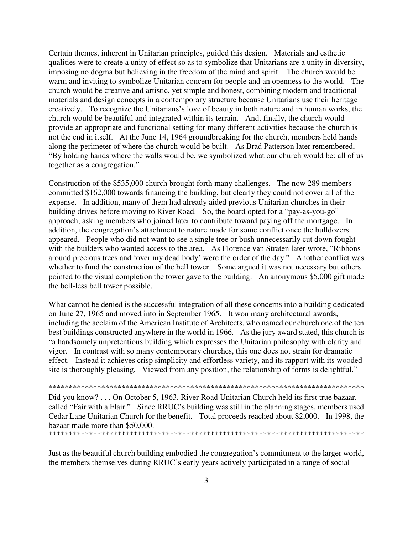Certain themes, inherent in Unitarian principles, guided this design. Materials and esthetic qualities were to create a unity of effect so as to symbolize that Unitarians are a unity in diversity, imposing no dogma but believing in the freedom of the mind and spirit. The church would be warm and inviting to symbolize Unitarian concern for people and an openness to the world. The church would be creative and artistic, yet simple and honest, combining modern and traditional materials and design concepts in a contemporary structure because Unitarians use their heritage creatively. To recognize the Unitarians's love of beauty in both nature and in human works, the church would be beautiful and integrated within its terrain. And, finally, the church would provide an appropriate and functional setting for many different activities because the church is not the end in itself. At the June 14, 1964 groundbreaking for the church, members held hands along the perimeter of where the church would be built. As Brad Patterson later remembered, "By holding hands where the walls would be, we symbolized what our church would be: all of us together as a congregation."

Construction of the \$535,000 church brought forth many challenges. The now 289 members committed \$162,000 towards financing the building, but clearly they could not cover all of the expense. In addition, many of them had already aided previous Unitarian churches in their building drives before moving to River Road. So, the board opted for a "pay-as-you-go" approach, asking members who joined later to contribute toward paying off the mortgage. In addition, the congregation's attachment to nature made for some conflict once the bulldozers appeared. People who did not want to see a single tree or bush unnecessarily cut down fought with the builders who wanted access to the area. As Florence van Straten later wrote, "Ribbons" around precious trees and 'over my dead body' were the order of the day." Another conflict was whether to fund the construction of the bell tower. Some argued it was not necessary but others pointed to the visual completion the tower gave to the building. An anonymous \$5,000 gift made the bell-less bell tower possible.

What cannot be denied is the successful integration of all these concerns into a building dedicated on June 27, 1965 and moved into in September 1965. It won many architectural awards, including the acclaim of the American Institute of Architects, who named our church one of the ten best buildings constructed anywhere in the world in 1966. As the jury award stated, this church is "a handsomely unpretentious building which expresses the Unitarian philosophy with clarity and vigor. In contrast with so many contemporary churches, this one does not strain for dramatic effect. Instead it achieves crisp simplicity and effortless variety, and its rapport with its wooded site is thoroughly pleasing. Viewed from any position, the relationship of forms is delightful."

\*\*\*\*\*\*\*\*\*\*\*\*\*\*\*\*\*\*\*\*\*\*\*\*\*\*\*\*\*\*\*\*\*\*\*\*\*\*\*\*\*\*\*\*\*\*\*\*\*\*\*\*\*\*\*\*\*\*\*\*\*\*\*\*\*\*\*\*\*\*\*\*\*\*\*\*\*\*

Did you know? . . . On October 5, 1963, River Road Unitarian Church held its first true bazaar, called "Fair with a Flair." Since RRUC's building was still in the planning stages, members used Cedar Lane Unitarian Church for the benefit. Total proceeds reached about \$2,000. In 1998, the bazaar made more than \$50,000. \*\*\*\*\*\*\*\*\*\*\*\*\*\*\*\*\*\*\*\*\*\*\*\*\*\*\*\*\*\*\*\*\*\*\*\*\*\*\*\*\*\*\*\*\*\*\*\*\*\*\*\*\*\*\*\*\*\*\*\*\*\*\*\*\*\*\*\*\*\*\*\*\*\*\*\*\*\*

Just as the beautiful church building embodied the congregation's commitment to the larger world, the members themselves during RRUC's early years actively participated in a range of social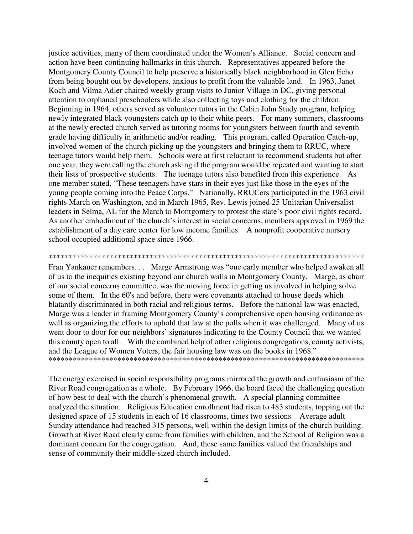justice activities, many of them coordinated under the Women's Alliance. Social concern and action have been continuing hallmarks in this church. Representatives appeared before the Montgomery County Council to help preserve a historically black neighborhood in Glen Echo from being bought out by developers, anxious to profit from the valuable land. In 1963, Janet Koch and Vilma Adler chaired weekly group visits to Junior Village in DC, giving personal attention to orphaned preschoolers while also collecting toys and clothing for the children. Beginning in 1964, others served as volunteer tutors in the Cabin John Study program, helping newly integrated black youngsters catch up to their white peers. For many summers, classrooms at the newly erected church served as tutoring rooms for youngsters between fourth and seventh grade having difficulty in arithmetic and/or reading. This program, called Operation Catch-up, involved women of the church picking up the youngsters and bringing them to RRUC, where teenage tutors would help them. Schools were at first reluctant to recommend students but after one year, they were calling the church asking if the program would be repeated and wanting to start their lists of prospective students. The teenage tutors also benefited from this experience. As one member stated, "These teenagers have stars in their eyes just like those in the eyes of the young people coming into the Peace Corps." Nationally, RRUCers participated in the 1963 civil rights March on Washington, and in March 1965, Rev. Lewis joined 25 Unitarian Universalist leaders in Selma, AL for the March to Montgomery to protest the state's poor civil rights record. As another embodiment of the church's interest in social concerns, members approved in 1969 the establishment of a day care center for low income families. A nonprofit cooperative nursery school occupied additional space since 1966.

## \*\*\*\*\*\*\*\*\*\*\*\*\*\*\*\*\*\*\*\*\*\*\*\*\*\*\*\*\*\*\*\*\*\*\*\*\*\*\*\*\*\*\*\*\*\*\*\*\*\*\*\*\*\*\*\*\*\*\*\*\*\*\*\*\*\*\*\*\*\*\*\*\*\*\*\*\*\*

Fran Yankauer remembers. . . Marge Armstrong was "one early member who helped awaken all of us to the inequities existing beyond our church walls in Montgomery County. Marge, as chair of our social concerns committee, was the moving force in getting us involved in helping solve some of them. In the 60's and before, there were covenants attached to house deeds which blatantly discriminated in both racial and religious terms. Before the national law was enacted, Marge was a leader in framing Montgomery County's comprehensive open housing ordinance as well as organizing the efforts to uphold that law at the polls when it was challenged. Many of us went door to door for our neighbors' signatures indicating to the County Council that we wanted this county open to all. With the combined help of other religious congregations, county activists, and the League of Women Voters, the fair housing law was on the books in 1968." \*\*\*\*\*\*\*\*\*\*\*\*\*\*\*\*\*\*\*\*\*\*\*\*\*\*\*\*\*\*\*\*\*\*\*\*\*\*\*\*\*\*\*\*\*\*\*\*\*\*\*\*\*\*\*\*\*\*\*\*\*\*\*\*\*\*\*\*\*\*\*\*\*\*\*\*\*\*

The energy exercised in social responsibility programs mirrored the growth and enthusiasm of the River Road congregation as a whole. By February 1966, the board faced the challenging question of how best to deal with the church's phenomenal growth. A special planning committee analyzed the situation. Religious Education enrollment had risen to 483 students, topping out the designed space of 15 students in each of 16 classrooms, times two sessions. Average adult Sunday attendance had reached 315 persons, well within the design limits of the church building. Growth at River Road clearly came from families with children, and the School of Religion was a dominant concern for the congregation. And, these same families valued the friendships and sense of community their middle-sized church included.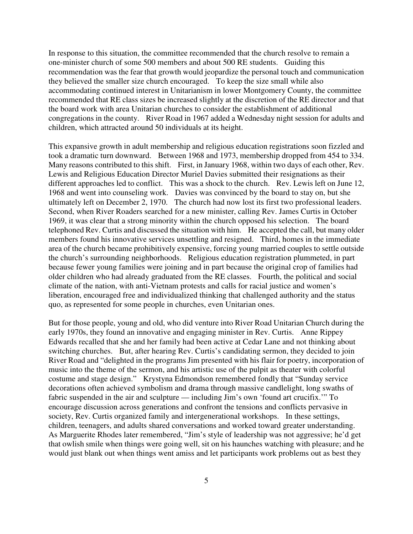In response to this situation, the committee recommended that the church resolve to remain a one-minister church of some 500 members and about 500 RE students. Guiding this recommendation was the fear that growth would jeopardize the personal touch and communication they believed the smaller size church encouraged. To keep the size small while also accommodating continued interest in Unitarianism in lower Montgomery County, the committee recommended that RE class sizes be increased slightly at the discretion of the RE director and that the board work with area Unitarian churches to consider the establishment of additional congregations in the county. River Road in 1967 added a Wednesday night session for adults and children, which attracted around 50 individuals at its height.

This expansive growth in adult membership and religious education registrations soon fizzled and took a dramatic turn downward. Between 1968 and 1973, membership dropped from 454 to 334. Many reasons contributed to this shift. First, in January 1968, within two days of each other, Rev. Lewis and Religious Education Director Muriel Davies submitted their resignations as their different approaches led to conflict. This was a shock to the church. Rev. Lewis left on June 12, 1968 and went into counseling work. Davies was convinced by the board to stay on, but she ultimately left on December 2, 1970. The church had now lost its first two professional leaders. Second, when River Roaders searched for a new minister, calling Rev. James Curtis in October 1969, it was clear that a strong minority within the church opposed his selection. The board telephoned Rev. Curtis and discussed the situation with him. He accepted the call, but many older members found his innovative services unsettling and resigned. Third, homes in the immediate area of the church became prohibitively expensive, forcing young married couples to settle outside the church's surrounding neighborhoods. Religious education registration plummeted, in part because fewer young families were joining and in part because the original crop of families had older children who had already graduated from the RE classes. Fourth, the political and social climate of the nation, with anti-Vietnam protests and calls for racial justice and women's liberation, encouraged free and individualized thinking that challenged authority and the status quo, as represented for some people in churches, even Unitarian ones.

But for those people, young and old, who did venture into River Road Unitarian Church during the early 1970s, they found an innovative and engaging minister in Rev. Curtis. Anne Rippey Edwards recalled that she and her family had been active at Cedar Lane and not thinking about switching churches. But, after hearing Rev. Curtis's candidating sermon, they decided to join River Road and "delighted in the programs Jim presented with his flair for poetry, incorporation of music into the theme of the sermon, and his artistic use of the pulpit as theater with colorful costume and stage design." Krystyna Edmondson remembered fondly that "Sunday service decorations often achieved symbolism and drama through massive candlelight, long swaths of fabric suspended in the air and sculpture — including Jim's own 'found art crucifix.'" To encourage discussion across generations and confront the tensions and conflicts pervasive in society, Rev. Curtis organized family and intergenerational workshops. In these settings, children, teenagers, and adults shared conversations and worked toward greater understanding. As Marguerite Rhodes later remembered, "Jim's style of leadership was not aggressive; he'd get that owlish smile when things were going well, sit on his haunches watching with pleasure; and he would just blank out when things went amiss and let participants work problems out as best they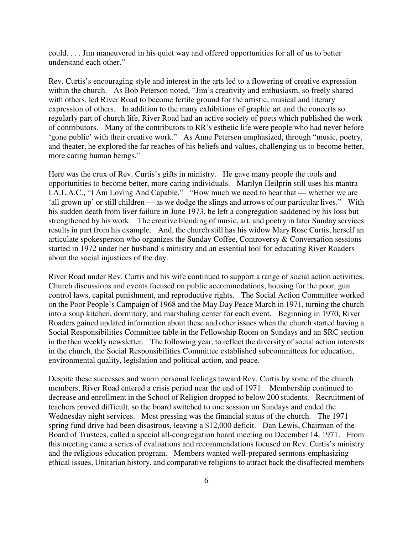could. . . . Jim maneuvered in his quiet way and offered opportunities for all of us to better understand each other."

Rev. Curtis's encouraging style and interest in the arts led to a flowering of creative expression within the church. As Bob Peterson noted, "Jim's creativity and enthusiasm, so freely shared with others, led River Road to become fertile ground for the artistic, musical and literary expression of others. In addition to the many exhibitions of graphic art and the concerts so regularly part of church life, River Road had an active society of poets which published the work of contributors. Many of the contributors to RR's esthetic life were people who had never before 'gone public' with their creative work." As Anne Petersen emphasized, through "music, poetry, and theater, he explored the far reaches of his beliefs and values, challenging us to become better, more caring human beings."

Here was the crux of Rev. Curtis's gifts in ministry. He gave many people the tools and opportunities to become better, more caring individuals. Marilyn Heilprin still uses his mantra I.A.L.A.C., "I Am Loving And Capable." "How much we need to hear that — whether we are 'all grown up' or still children — as we dodge the slings and arrows of our particular lives." With his sudden death from liver failure in June 1973, he left a congregation saddened by his loss but strengthened by his work. The creative blending of music, art, and poetry in later Sunday services results in part from his example. And, the church still has his widow Mary Rose Curtis, herself an articulate spokesperson who organizes the Sunday Coffee, Controversy & Conversation sessions started in 1972 under her husband's ministry and an essential tool for educating River Roaders about the social injustices of the day.

River Road under Rev. Curtis and his wife continued to support a range of social action activities. Church discussions and events focused on public accommodations, housing for the poor, gun control laws, capital punishment, and reproductive rights. The Social Action Committee worked on the Poor People's Campaign of 1968 and the May Day Peace March in 1971, turning the church into a soup kitchen, dormitory, and marshaling center for each event. Beginning in 1970, River Roaders gained updated information about these and other issues when the church started having a Social Responsibilities Committee table in the Fellowship Room on Sundays and an SRC section in the then weekly newsletter. The following year, to reflect the diversity of social action interests in the church, the Social Responsibilities Committee established subcommittees for education, environmental quality, legislation and political action, and peace.

Despite these successes and warm personal feelings toward Rev. Curtis by some of the church members, River Road entered a crisis period near the end of 1971. Membership continued to decrease and enrollment in the School of Religion dropped to below 200 students. Recruitment of teachers proved difficult, so the board switched to one session on Sundays and ended the Wednesday night services. Most pressing was the financial status of the church. The 1971 spring fund drive had been disastrous, leaving a \$12,000 deficit. Dan Lewis, Chairman of the Board of Trustees, called a special all-congregation board meeting on December 14, 1971. From this meeting came a series of evaluations and recommendations focused on Rev. Curtis's ministry and the religious education program. Members wanted well-prepared sermons emphasizing ethical issues, Unitarian history, and comparative religions to attract back the disaffected members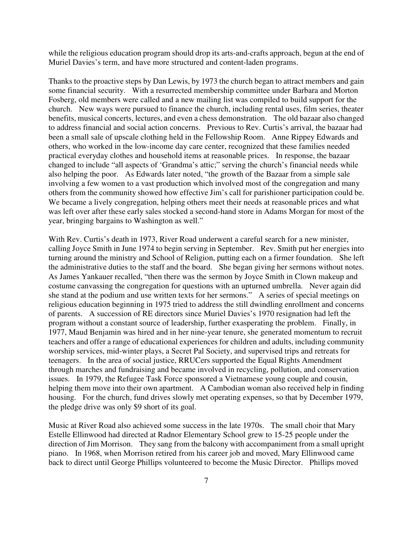while the religious education program should drop its arts-and-crafts approach, begun at the end of Muriel Davies's term, and have more structured and content-laden programs.

Thanks to the proactive steps by Dan Lewis, by 1973 the church began to attract members and gain some financial security. With a resurrected membership committee under Barbara and Morton Fosberg, old members were called and a new mailing list was compiled to build support for the church. New ways were pursued to finance the church, including rental uses, film series, theater benefits, musical concerts, lectures, and even a chess demonstration. The old bazaar also changed to address financial and social action concerns. Previous to Rev. Curtis's arrival, the bazaar had been a small sale of upscale clothing held in the Fellowship Room. Anne Rippey Edwards and others, who worked in the low-income day care center, recognized that these families needed practical everyday clothes and household items at reasonable prices. In response, the bazaar changed to include "all aspects of 'Grandma's attic;" serving the church's financial needs while also helping the poor. As Edwards later noted, "the growth of the Bazaar from a simple sale involving a few women to a vast production which involved most of the congregation and many others from the community showed how effective Jim's call for parishioner participation could be. We became a lively congregation, helping others meet their needs at reasonable prices and what was left over after these early sales stocked a second-hand store in Adams Morgan for most of the year, bringing bargains to Washington as well."

With Rev. Curtis's death in 1973, River Road underwent a careful search for a new minister, calling Joyce Smith in June 1974 to begin serving in September. Rev. Smith put her energies into turning around the ministry and School of Religion, putting each on a firmer foundation. She left the administrative duties to the staff and the board. She began giving her sermons without notes. As James Yankauer recalled, "then there was the sermon by Joyce Smith in Clown makeup and costume canvassing the congregation for questions with an upturned umbrella. Never again did she stand at the podium and use written texts for her sermons." A series of special meetings on religious education beginning in 1975 tried to address the still dwindling enrollment and concerns of parents. A succession of RE directors since Muriel Davies's 1970 resignation had left the program without a constant source of leadership, further exasperating the problem. Finally, in 1977, Maud Benjamin was hired and in her nine-year tenure, she generated momentum to recruit teachers and offer a range of educational experiences for children and adults, including community worship services, mid-winter plays, a Secret Pal Society, and supervised trips and retreats for teenagers. In the area of social justice, RRUCers supported the Equal Rights Amendment through marches and fundraising and became involved in recycling, pollution, and conservation issues. In 1979, the Refugee Task Force sponsored a Vietnamese young couple and cousin, helping them move into their own apartment. A Cambodian woman also received help in finding housing. For the church, fund drives slowly met operating expenses, so that by December 1979, the pledge drive was only \$9 short of its goal.

Music at River Road also achieved some success in the late 1970s. The small choir that Mary Estelle Ellinwood had directed at Radnor Elementary School grew to 15-25 people under the direction of Jim Morrison. They sang from the balcony with accompaniment from a small upright piano. In 1968, when Morrison retired from his career job and moved, Mary Ellinwood came back to direct until George Phillips volunteered to become the Music Director. Phillips moved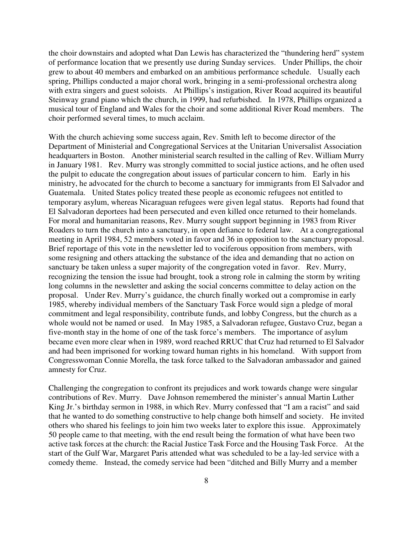the choir downstairs and adopted what Dan Lewis has characterized the "thundering herd" system of performance location that we presently use during Sunday services. Under Phillips, the choir grew to about 40 members and embarked on an ambitious performance schedule. Usually each spring, Phillips conducted a major choral work, bringing in a semi-professional orchestra along with extra singers and guest soloists. At Phillips's instigation, River Road acquired its beautiful Steinway grand piano which the church, in 1999, had refurbished. In 1978, Phillips organized a musical tour of England and Wales for the choir and some additional River Road members. The choir performed several times, to much acclaim.

With the church achieving some success again, Rev. Smith left to become director of the Department of Ministerial and Congregational Services at the Unitarian Universalist Association headquarters in Boston. Another ministerial search resulted in the calling of Rev. William Murry in January 1981. Rev. Murry was strongly committed to social justice actions, and he often used the pulpit to educate the congregation about issues of particular concern to him. Early in his ministry, he advocated for the church to become a sanctuary for immigrants from El Salvador and Guatemala. United States policy treated these people as economic refugees not entitled to temporary asylum, whereas Nicaraguan refugees were given legal status. Reports had found that El Salvadoran deportees had been persecuted and even killed once returned to their homelands. For moral and humanitarian reasons, Rev. Murry sought support beginning in 1983 from River Roaders to turn the church into a sanctuary, in open defiance to federal law. At a congregational meeting in April 1984, 52 members voted in favor and 36 in opposition to the sanctuary proposal. Brief reportage of this vote in the newsletter led to vociferous opposition from members, with some resigning and others attacking the substance of the idea and demanding that no action on sanctuary be taken unless a super majority of the congregation voted in favor. Rev. Murry, recognizing the tension the issue had brought, took a strong role in calming the storm by writing long columns in the newsletter and asking the social concerns committee to delay action on the proposal. Under Rev. Murry's guidance, the church finally worked out a compromise in early 1985, whereby individual members of the Sanctuary Task Force would sign a pledge of moral commitment and legal responsibility, contribute funds, and lobby Congress, but the church as a whole would not be named or used. In May 1985, a Salvadoran refugee, Gustavo Cruz, began a five-month stay in the home of one of the task force's members. The importance of asylum became even more clear when in 1989, word reached RRUC that Cruz had returned to El Salvador and had been imprisoned for working toward human rights in his homeland. With support from Congresswoman Connie Morella, the task force talked to the Salvadoran ambassador and gained amnesty for Cruz.

Challenging the congregation to confront its prejudices and work towards change were singular contributions of Rev. Murry. Dave Johnson remembered the minister's annual Martin Luther King Jr.'s birthday sermon in 1988, in which Rev. Murry confessed that "I am a racist" and said that he wanted to do something constructive to help change both himself and society. He invited others who shared his feelings to join him two weeks later to explore this issue. Approximately 50 people came to that meeting, with the end result being the formation of what have been two active task forces at the church: the Racial Justice Task Force and the Housing Task Force. At the start of the Gulf War, Margaret Paris attended what was scheduled to be a lay-led service with a comedy theme. Instead, the comedy service had been "ditched and Billy Murry and a member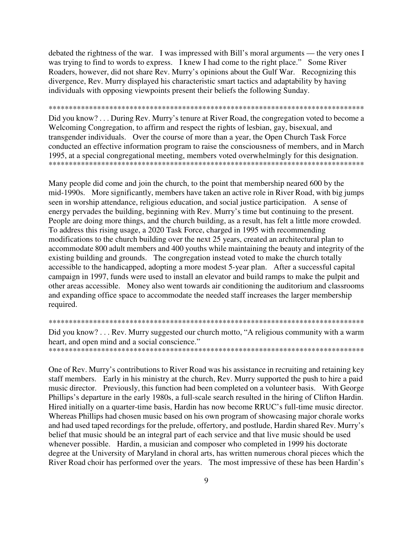debated the rightness of the war. I was impressed with Bill's moral arguments — the very ones I was trying to find to words to express. I knew I had come to the right place." Some River Roaders, however, did not share Rev. Murry's opinions about the Gulf War. Recognizing this divergence, Rev. Murry displayed his characteristic smart tactics and adaptability by having individuals with opposing viewpoints present their beliefs the following Sunday.

## \*\*\*\*\*\*\*\*\*\*\*\*\*\*\*\*\*\*\*\*\*\*\*\*\*\*\*\*\*\*\*\*\*\*\*\*\*\*\*\*\*\*\*\*\*\*\*\*\*\*\*\*\*\*\*\*\*\*\*\*\*\*\*\*\*\*\*\*\*\*\*\*\*\*\*\*\*\*

Did you know? . . . During Rev. Murry's tenure at River Road, the congregation voted to become a Welcoming Congregation, to affirm and respect the rights of lesbian, gay, bisexual, and transgender individuals. Over the course of more than a year, the Open Church Task Force conducted an effective information program to raise the consciousness of members, and in March 1995, at a special congregational meeting, members voted overwhelmingly for this designation. \*\*\*\*\*\*\*\*\*\*\*\*\*\*\*\*\*\*\*\*\*\*\*\*\*\*\*\*\*\*\*\*\*\*\*\*\*\*\*\*\*\*\*\*\*\*\*\*\*\*\*\*\*\*\*\*\*\*\*\*\*\*\*\*\*\*\*\*\*\*\*\*\*\*\*\*\*\*

Many people did come and join the church, to the point that membership neared 600 by the mid-1990s. More significantly, members have taken an active role in River Road, with big jumps seen in worship attendance, religious education, and social justice participation. A sense of energy pervades the building, beginning with Rev. Murry's time but continuing to the present. People are doing more things, and the church building, as a result, has felt a little more crowded. To address this rising usage, a 2020 Task Force, charged in 1995 with recommending modifications to the church building over the next 25 years, created an architectural plan to accommodate 800 adult members and 400 youths while maintaining the beauty and integrity of the existing building and grounds. The congregation instead voted to make the church totally accessible to the handicapped, adopting a more modest 5-year plan. After a successful capital campaign in 1997, funds were used to install an elevator and build ramps to make the pulpit and other areas accessible. Money also went towards air conditioning the auditorium and classrooms and expanding office space to accommodate the needed staff increases the larger membership required.

\*\*\*\*\*\*\*\*\*\*\*\*\*\*\*\*\*\*\*\*\*\*\*\*\*\*\*\*\*\*\*\*\*\*\*\*\*\*\*\*\*\*\*\*\*\*\*\*\*\*\*\*\*\*\*\*\*\*\*\*\*\*\*\*\*\*\*\*\*\*\*\*\*\*\*\*\*\* Did you know? . . . Rev. Murry suggested our church motto, "A religious community with a warm heart, and open mind and a social conscience." \*\*\*\*\*\*\*\*\*\*\*\*\*\*\*\*\*\*\*\*\*\*\*\*\*\*\*\*\*\*\*\*\*\*\*\*\*\*\*\*\*\*\*\*\*\*\*\*\*\*\*\*\*\*\*\*\*\*\*\*\*\*\*\*\*\*\*\*\*\*\*\*\*\*\*\*\*\*

One of Rev. Murry's contributions to River Road was his assistance in recruiting and retaining key staff members. Early in his ministry at the church, Rev. Murry supported the push to hire a paid music director. Previously, this function had been completed on a volunteer basis. With George Phillips's departure in the early 1980s, a full-scale search resulted in the hiring of Clifton Hardin. Hired initially on a quarter-time basis, Hardin has now become RRUC's full-time music director. Whereas Phillips had chosen music based on his own program of showcasing major chorale works and had used taped recordings for the prelude, offertory, and postlude, Hardin shared Rev. Murry's belief that music should be an integral part of each service and that live music should be used whenever possible. Hardin, a musician and composer who completed in 1999 his doctorate degree at the University of Maryland in choral arts, has written numerous choral pieces which the River Road choir has performed over the years. The most impressive of these has been Hardin's